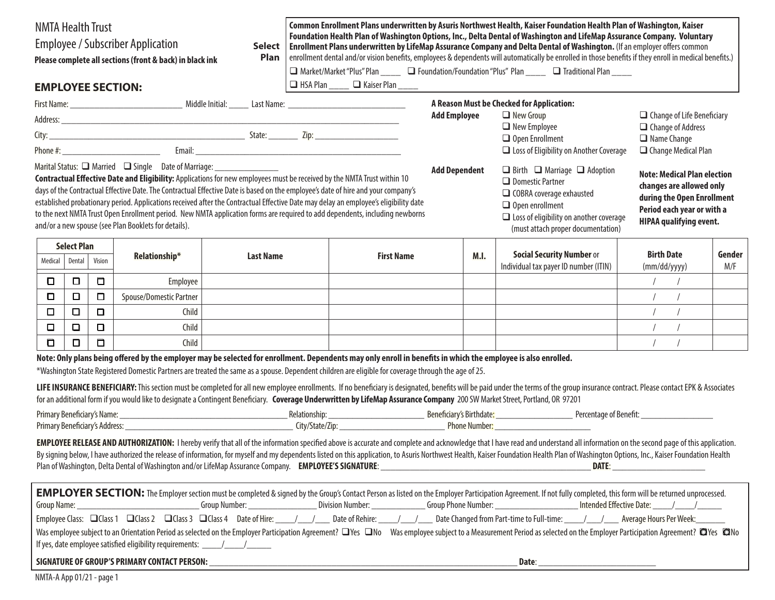| <b>NMTA Health Trust</b><br><b>Employee / Subscriber Application</b><br><b>Select</b><br>Plan<br>Please complete all sections (front & back) in black ink<br><b>EMPLOYEE SECTION:</b>                                                                                                                                                                                                                                                                                                                                                                                                                                                                                                                                                  |                    |        |                                                                                  | Common Enrollment Plans underwritten by Asuris Northwest Health, Kaiser Foundation Health Plan of Washington, Kaiser<br>Foundation Health Plan of Washington Options, Inc., Delta Dental of Washington and LifeMap Assurance Company. Voluntary<br>Enrollment Plans underwritten by LifeMap Assurance Company and Delta Dental of Washington. (If an employer offers common<br>enrollment dental and/or vision benefits, employees & dependents will automatically be enrolled in those benefits if they enroll in medical benefits.)<br>□ Market/Market "Plus" Plan _____ □ Foundation/Foundation "Plus" Plan ____ □ Traditional Plan ____<br>$\Box$ HSA Plan _____ $\Box$ Kaiser Plan ____ |  |                      |  |                  |                                                                                                                                                                                                                                                                                                                                                                                                                                                                                                                                                                                                                                            |                                   |               |
|----------------------------------------------------------------------------------------------------------------------------------------------------------------------------------------------------------------------------------------------------------------------------------------------------------------------------------------------------------------------------------------------------------------------------------------------------------------------------------------------------------------------------------------------------------------------------------------------------------------------------------------------------------------------------------------------------------------------------------------|--------------------|--------|----------------------------------------------------------------------------------|----------------------------------------------------------------------------------------------------------------------------------------------------------------------------------------------------------------------------------------------------------------------------------------------------------------------------------------------------------------------------------------------------------------------------------------------------------------------------------------------------------------------------------------------------------------------------------------------------------------------------------------------------------------------------------------------|--|----------------------|--|------------------|--------------------------------------------------------------------------------------------------------------------------------------------------------------------------------------------------------------------------------------------------------------------------------------------------------------------------------------------------------------------------------------------------------------------------------------------------------------------------------------------------------------------------------------------------------------------------------------------------------------------------------------------|-----------------------------------|---------------|
|                                                                                                                                                                                                                                                                                                                                                                                                                                                                                                                                                                                                                                                                                                                                        |                    |        |                                                                                  | A Reason Must be Checked for Application:                                                                                                                                                                                                                                                                                                                                                                                                                                                                                                                                                                                                                                                    |  |                      |  |                  |                                                                                                                                                                                                                                                                                                                                                                                                                                                                                                                                                                                                                                            |                                   |               |
|                                                                                                                                                                                                                                                                                                                                                                                                                                                                                                                                                                                                                                                                                                                                        |                    |        |                                                                                  | <b>Add Employee</b>                                                                                                                                                                                                                                                                                                                                                                                                                                                                                                                                                                                                                                                                          |  |                      |  | $\Box$ New Group |                                                                                                                                                                                                                                                                                                                                                                                                                                                                                                                                                                                                                                            | $\Box$ Change of Life Beneficiary |               |
|                                                                                                                                                                                                                                                                                                                                                                                                                                                                                                                                                                                                                                                                                                                                        |                    |        |                                                                                  |                                                                                                                                                                                                                                                                                                                                                                                                                                                                                                                                                                                                                                                                                              |  |                      |  |                  | $\Box$ Change of Address<br>$\Box$ New Employee                                                                                                                                                                                                                                                                                                                                                                                                                                                                                                                                                                                            |                                   |               |
|                                                                                                                                                                                                                                                                                                                                                                                                                                                                                                                                                                                                                                                                                                                                        |                    |        |                                                                                  |                                                                                                                                                                                                                                                                                                                                                                                                                                                                                                                                                                                                                                                                                              |  |                      |  |                  | $\Box$ Open Enrollment<br>$\Box$ Name Change<br>□ Loss of Eligibility on Another Coverage<br>$\Box$ Change Medical Plan                                                                                                                                                                                                                                                                                                                                                                                                                                                                                                                    |                                   |               |
| Marital Status: □ Married □ Single Date of Marriage: ___________________________<br>Contractual Effective Date and Eligibility: Applications for new employees must be received by the NMTA Trust within 10<br>days of the Contractual Effective Date. The Contractual Effective Date is based on the employee's date of hire and your company's<br>established probationary period. Applications received after the Contractual Effective Date may delay an employee's eligibility date<br>to the next NMTA Trust Open Enrollment period. New NMTA application forms are required to add dependents, including newborns<br>and/or a new spouse (see Plan Booklets for details).                                                       |                    |        |                                                                                  |                                                                                                                                                                                                                                                                                                                                                                                                                                                                                                                                                                                                                                                                                              |  | <b>Add Dependent</b> |  |                  | $\Box$ Birth $\Box$ Marriage $\Box$ Adoption<br><b>Note: Medical Plan election</b><br>$\Box$ Domestic Partner<br>changes are allowed only<br>□ COBRA coverage exhausted<br>during the Open Enrollment<br>$\Box$ Open enrollment<br>Period each year or with a<br>$\Box$ Loss of eligibility on another coverage<br><b>HIPAA qualifying event.</b><br>(must attach proper documentation)                                                                                                                                                                                                                                                    |                                   |               |
|                                                                                                                                                                                                                                                                                                                                                                                                                                                                                                                                                                                                                                                                                                                                        | <b>Select Plan</b> |        |                                                                                  |                                                                                                                                                                                                                                                                                                                                                                                                                                                                                                                                                                                                                                                                                              |  |                      |  |                  |                                                                                                                                                                                                                                                                                                                                                                                                                                                                                                                                                                                                                                            |                                   |               |
| Medical                                                                                                                                                                                                                                                                                                                                                                                                                                                                                                                                                                                                                                                                                                                                | Dental             | Vision | Relationship*                                                                    | <b>Last Name</b>                                                                                                                                                                                                                                                                                                                                                                                                                                                                                                                                                                                                                                                                             |  | <b>First Name</b>    |  | M.I.             | <b>Social Security Number or</b><br>Individual tax payer ID number (ITIN)                                                                                                                                                                                                                                                                                                                                                                                                                                                                                                                                                                  | <b>Birth Date</b><br>(mm/dd/yyyy) | Gender<br>M/F |
| $\Box$                                                                                                                                                                                                                                                                                                                                                                                                                                                                                                                                                                                                                                                                                                                                 | $\Box$             | $\Box$ | Employee                                                                         |                                                                                                                                                                                                                                                                                                                                                                                                                                                                                                                                                                                                                                                                                              |  |                      |  |                  |                                                                                                                                                                                                                                                                                                                                                                                                                                                                                                                                                                                                                                            | $\sqrt{2}$                        |               |
| $\Box$                                                                                                                                                                                                                                                                                                                                                                                                                                                                                                                                                                                                                                                                                                                                 | $\Box$             | $\Box$ | Spouse/Domestic Partner                                                          |                                                                                                                                                                                                                                                                                                                                                                                                                                                                                                                                                                                                                                                                                              |  |                      |  |                  |                                                                                                                                                                                                                                                                                                                                                                                                                                                                                                                                                                                                                                            | $\sqrt{ }$                        |               |
| $\Box$                                                                                                                                                                                                                                                                                                                                                                                                                                                                                                                                                                                                                                                                                                                                 | $\Box$             | $\Box$ | Child                                                                            |                                                                                                                                                                                                                                                                                                                                                                                                                                                                                                                                                                                                                                                                                              |  |                      |  |                  |                                                                                                                                                                                                                                                                                                                                                                                                                                                                                                                                                                                                                                            |                                   |               |
| $\Box$                                                                                                                                                                                                                                                                                                                                                                                                                                                                                                                                                                                                                                                                                                                                 | $\Box$             | $\Box$ | Child                                                                            |                                                                                                                                                                                                                                                                                                                                                                                                                                                                                                                                                                                                                                                                                              |  |                      |  |                  |                                                                                                                                                                                                                                                                                                                                                                                                                                                                                                                                                                                                                                            |                                   |               |
| $\Box$                                                                                                                                                                                                                                                                                                                                                                                                                                                                                                                                                                                                                                                                                                                                 | $\Box$             | $\Box$ | Child                                                                            |                                                                                                                                                                                                                                                                                                                                                                                                                                                                                                                                                                                                                                                                                              |  |                      |  |                  |                                                                                                                                                                                                                                                                                                                                                                                                                                                                                                                                                                                                                                            |                                   |               |
| Note: Only plans being offered by the employer may be selected for enrollment. Dependents may only enroll in benefits in which the employee is also enrolled.<br>*Washington State Registered Domestic Partners are treated the same as a spouse. Dependent children are eligible for coverage through the age of 25.<br>LIFE INSURANCE BENEFICIARY: This section must be completed for all new employee enrollments. If no beneficiary is designated, benefits will be paid under the terms of the group insurance contract. Please contact EPK & Asso<br>for an additional form if you would like to designate a Contingent Beneficiary. Coverage Underwritten by LifeMap Assurance Company 200 SW Market Street, Portland, OR 97201 |                    |        |                                                                                  |                                                                                                                                                                                                                                                                                                                                                                                                                                                                                                                                                                                                                                                                                              |  |                      |  |                  |                                                                                                                                                                                                                                                                                                                                                                                                                                                                                                                                                                                                                                            |                                   |               |
|                                                                                                                                                                                                                                                                                                                                                                                                                                                                                                                                                                                                                                                                                                                                        |                    |        |                                                                                  |                                                                                                                                                                                                                                                                                                                                                                                                                                                                                                                                                                                                                                                                                              |  |                      |  |                  |                                                                                                                                                                                                                                                                                                                                                                                                                                                                                                                                                                                                                                            |                                   |               |
|                                                                                                                                                                                                                                                                                                                                                                                                                                                                                                                                                                                                                                                                                                                                        |                    |        |                                                                                  |                                                                                                                                                                                                                                                                                                                                                                                                                                                                                                                                                                                                                                                                                              |  |                      |  |                  | EMPLOYEE RELEASE AND AUTHORIZATION: I hereby verify that all of the information specified above is accurate and complete and acknowledge that I have read and understand all information on the second page of this applicatio<br>By signing below, I have authorized the release of information, for myself and my dependents listed on this application, to Asuris Northwest Health, Kaiser Foundation Health Plan of Washington Options, Inc., Kaiser Foundat                                                                                                                                                                           |                                   |               |
|                                                                                                                                                                                                                                                                                                                                                                                                                                                                                                                                                                                                                                                                                                                                        |                    |        | If yes, date employee satisfied eligibility requirements: ____/___/______/______ |                                                                                                                                                                                                                                                                                                                                                                                                                                                                                                                                                                                                                                                                                              |  |                      |  |                  | <b>EMPLOYER SECTION:</b> The Employer section must be completed & signed by the Group's Contact Person as listed on the Employer Participation Agreement. If not fully completed, this form will be returned unprocessed.<br>Employee Class: □Class 1 □Class 2 □Class 3 □Class 4 Date of Hire: 11.12.0 Date of Rehire: 1.12.12.0 Date Changed from Part-time to Full-time: 1.12.12.12.12. Average Hours Per Week:<br>Was employee subject to an Orientation Period as selected on the Employer Participation Agreement? N'es No Was employee subject to a Measurement Period as selected on the Employer Participation Agreement? N'es CNo |                                   |               |
|                                                                                                                                                                                                                                                                                                                                                                                                                                                                                                                                                                                                                                                                                                                                        |                    |        | <b>SIGNATURE OF GROUP'S PRIMARY CONTACT PERSON:</b>                              |                                                                                                                                                                                                                                                                                                                                                                                                                                                                                                                                                                                                                                                                                              |  |                      |  |                  | Date:                                                                                                                                                                                                                                                                                                                                                                                                                                                                                                                                                                                                                                      |                                   |               |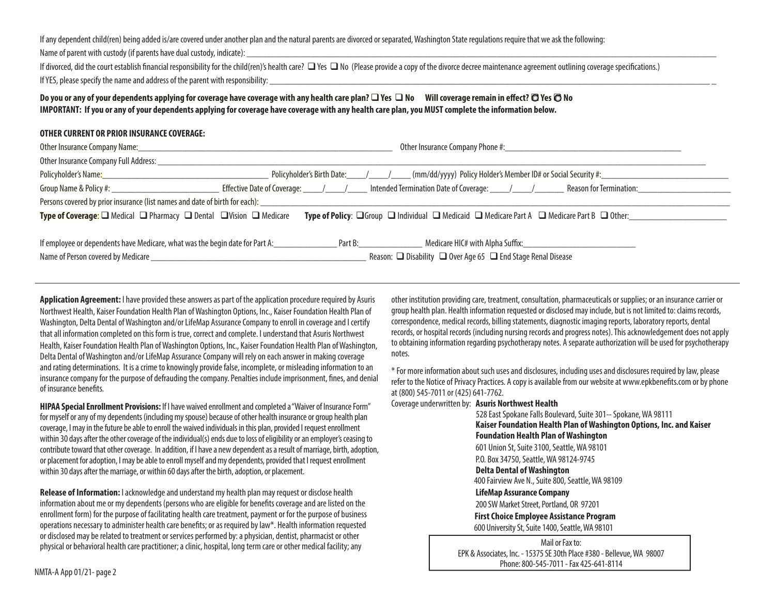If any dependent child(ren) being added is/are covered under another plan and the natural parents are divorced or separated, Washington State regulations require that we ask the following:

Name of parent with custody (if parents have dual custody, indicate):

If divorced, did the court establish financial responsibility for the child(ren)'s health care?  $\Box$  Yes  $\Box$  No (Please provide a copy of the divorce decree maintenance agreement outlining coverage specifications.) If YES, please specify the name and address of the parent with responsibility:

#### **Do you or any of your dependents applying for coverage have coverage with any health care plan? □ Yes □ No** Will coverage remain in effect? □ Yes □ No **IMPORTANT: If you or any of your dependents applying for coverage have coverage with any health care plan, you MUST complete the information below.**

#### **OTHER CURRENT OR PRIOR INSURANCE COVERAGE: THER**

| Other Insurance Company Full Address: _________                                                                                                                                                                                                         |                                                                                                                                                                                                                                |                                                                |  |  |  |  |  |  |
|---------------------------------------------------------------------------------------------------------------------------------------------------------------------------------------------------------------------------------------------------------|--------------------------------------------------------------------------------------------------------------------------------------------------------------------------------------------------------------------------------|----------------------------------------------------------------|--|--|--|--|--|--|
|                                                                                                                                                                                                                                                         | Policyholder's Name: 1993 Mames 2020 Mames 2020 Mames 2020 Mames 2020 Mammes 2020 Mammes 2020 Mammes 2020 Mammes 2020 Mammes 2020 Mammes 2020 Mammes 2020 Mammes 2020 Mammes 2020 Mammes 2020 Mammes 2020 Mammes 2020 Mammes 2 |                                                                |  |  |  |  |  |  |
|                                                                                                                                                                                                                                                         |                                                                                                                                                                                                                                |                                                                |  |  |  |  |  |  |
| Persons covered by prior insurance (list names and date of birth for each): _______________________                                                                                                                                                     |                                                                                                                                                                                                                                |                                                                |  |  |  |  |  |  |
| <b>Type of Coverage:</b> $\square$ Medical $\square$ Pharmacy $\square$ Dental $\square$ Vision $\square$ Medicare<br><b>Type of Policy:</b> $\Box$ Group $\Box$ Individual $\Box$ Medicaid $\Box$ Medicare Part A $\Box$ Medicare Part B $\Box$ Other: |                                                                                                                                                                                                                                |                                                                |  |  |  |  |  |  |
|                                                                                                                                                                                                                                                         |                                                                                                                                                                                                                                |                                                                |  |  |  |  |  |  |
| If employee or dependents have Medicare, what was the begin date for Part A: _______________                                                                                                                                                            | Part B:                                                                                                                                                                                                                        | Medicare HIC# with Alpha Suffix: Medicare Museum Alpha Suffix: |  |  |  |  |  |  |
|                                                                                                                                                                                                                                                         | Reason: □ Disability □ Over Age 65 □ End Stage Renal Disease                                                                                                                                                                   |                                                                |  |  |  |  |  |  |

**Application Agreement:** I have provided these answers as part of the application procedure required by Asuris Northwest Health, Kaiser Foundation Health Plan of Washington Options, Inc., Kaiser Foundation Health Plan of Washington, Delta Dental of Washington and/or LifeMap Assurance Company to enroll in coverage and I certify that all information completed on this form is true, correct and complete. I understand that Asuris Northwest Health, Kaiser Foundation Health Plan of Washington Options, Inc., Kaiser Foundation Health Plan of Washington, Delta Dental of Washington and/or LifeMap Assurance Company will rely on each answer in making coverage and rating determinations. It is a crime to knowingly provide false, incomplete, or misleading information to an insurance company for the purpose of defrauding the company. Penalties include imprisonment, fines, and denial of insurance benefits.

**HIPAA Special Enrollment Provisions:** If I have waived enrollment and completed a "Waiver of Insurance Form" for myself or any of my dependents (including my spouse) because of other health insurance or group health plan coverage, I may in the future be able to enroll the waived individuals in this plan, provided I request enrollment within 30 days after the other coverage of the individual(s) ends due to loss of eligibility or an employer's ceasing to contribute toward that other coverage. In addition, if I have a new dependent as a result of marriage, birth, adoption, or placement for adoption, I may be able to enroll myself and my dependents, provided that I request enrollment within 30 days after the marriage, or within 60 days after the birth, adoption, or placement.

**Release of Information:** I acknowledge and understand my health plan may request or disclose health information about me or my dependents (persons who are eligible for benefits coverage and are listed on the enrollment form) for the purpose of facilitating health care treatment, payment or for the purpose of business operations necessary to administer health care benefits; or as required by law\*. Health information requested or disclosed may be related to treatment or services performed by: a physician, dentist, pharmacist or other physical or behavioral health care practitioner; a clinic, hospital, long term care or other medical facility; any

other institution providing care, treatment, consultation, pharmaceuticals or supplies; or an insurance carrier or group health plan. Health information requested or disclosed may include, but is not limited to: claims records, correspondence, medical records, billing statements, diagnostic imaging reports, laboratory reports, dental records, or hospital records (including nursing records and progress notes). This acknowledgement does not apply to obtaining information regarding psychotherapy notes. A separate authorization will be used for psychotherapy notes.

\* For more information about such uses and disclosures, including uses and disclosures required by law, please refer to the Notice of Privacy Practices. A copy is available from our website at www.epkbenefits.com or by phone at (800) 545-7011 or (425) 641-7762.

Coverage underwritten by: **Asuris Northwest Health**

 528 East Spokane Falls Boulevard, Suite 301-- Spokane, WA 98111  **Kaiser Foundation Health Plan of Washington Options, Inc. and Kaiser Foundation Health Plan of Washington** 601 Union St, Suite 3100, Seattle, WA 98101 P.O. Box 34750, Seattle, WA 98124-9745  **Delta Dental of Washington** 400 Fairview Ave N., Suite 800, Seattle, WA 98109 **LifeMap Assurance Company** 200 SW Market Street, Portland, OR 97201  **First Choice Employee Assistance Program** 600 University St, Suite 1400, Seattle, WA 98101

Mailor Fax to:EPK & Associates, Inc. - 15375 SE 30th Place #380 - Bellevue, WA 98007 Phone: 800-545-7011 - Fax 425-641-8114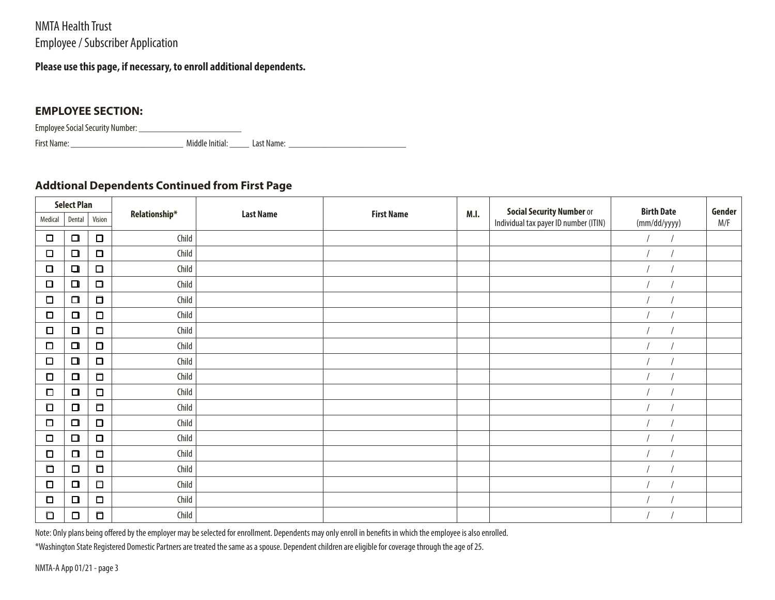# NMTA Health Trust Employee / Subscriber Application

## **Please use this page, if necessary, to enroll additional dependents.**

## **EMPLOYEE SECTION: MPLOYEE**

Employee Social Security Number: \_\_\_\_\_\_\_\_\_\_\_\_\_\_\_\_\_\_\_\_\_ mployee

First Name: irst Name:\_\_\_\_\_\_\_\_\_\_\_\_\_\_\_\_\_\_\_\_\_\_\_ Middle Initial: \_\_\_\_ Last Name: \_\_\_\_\_\_\_\_\_\_\_\_\_\_\_\_\_\_\_\_\_\_\_\_

## **Addtional Dependents Continued from First Page**

| <b>Select Plan</b> |        |        |               |                  |                   |      | <b>Social Security Number or</b>      | <b>Birth Date</b> | Gender |
|--------------------|--------|--------|---------------|------------------|-------------------|------|---------------------------------------|-------------------|--------|
| Medical            | Dental | Vision | Relationship* | <b>Last Name</b> | <b>First Name</b> | M.I. | Individual tax payer ID number (ITIN) | (mm/dd/yyyy)      | M/F    |
| $\Box$             | $\Box$ | $\Box$ | Child         |                  |                   |      |                                       |                   |        |
| $\Box$             | $\Box$ | $\Box$ | Child         |                  |                   |      |                                       |                   |        |
| $\Box$             | $\Box$ | $\Box$ | Child         |                  |                   |      |                                       |                   |        |
| $\Box$             | $\Box$ | $\Box$ | Child         |                  |                   |      |                                       |                   |        |
| $\Box$             | $\Box$ | $\Box$ | Child         |                  |                   |      |                                       |                   |        |
| □                  | $\Box$ | $\Box$ | Child         |                  |                   |      |                                       |                   |        |
| О                  | $\Box$ | $\Box$ | Child         |                  |                   |      |                                       |                   |        |
| $\Box$             | $\Box$ | $\Box$ | Child         |                  |                   |      |                                       |                   |        |
| $\Box$             | $\Box$ | $\Box$ | Child         |                  |                   |      |                                       |                   |        |
| □                  | $\Box$ | $\Box$ | Child         |                  |                   |      |                                       |                   |        |
| $\Box$             | $\Box$ | $\Box$ | Child         |                  |                   |      |                                       |                   |        |
| $\Box$             | $\Box$ | $\Box$ | Child         |                  |                   |      |                                       |                   |        |
| $\Box$             | $\Box$ | $\Box$ | Child         |                  |                   |      |                                       |                   |        |
| $\Box$             | $\Box$ | $\Box$ | Child         |                  |                   |      |                                       |                   |        |
| О                  | $\Box$ | $\Box$ | Child         |                  |                   |      |                                       |                   |        |
| $\Box$             | $\Box$ | $\Box$ | Child         |                  |                   |      |                                       |                   |        |
| □                  | $\Box$ | $\Box$ | Child         |                  |                   |      |                                       |                   |        |
| □                  | $\Box$ | $\Box$ | Child         |                  |                   |      |                                       |                   |        |
| $\Box$             | $\Box$ | $\Box$ | Child         |                  |                   |      |                                       |                   |        |

Note: Only plans being offered by the employer may be selected for enrollment. Dependents may only enroll in benefits in which the employee is also enrolled.

\*Washington State Registered Domestic Partners are treated the same as a spouse. Dependent children are eligible for coverage through the age of 25.

NMTA-A App 01/21 - page 3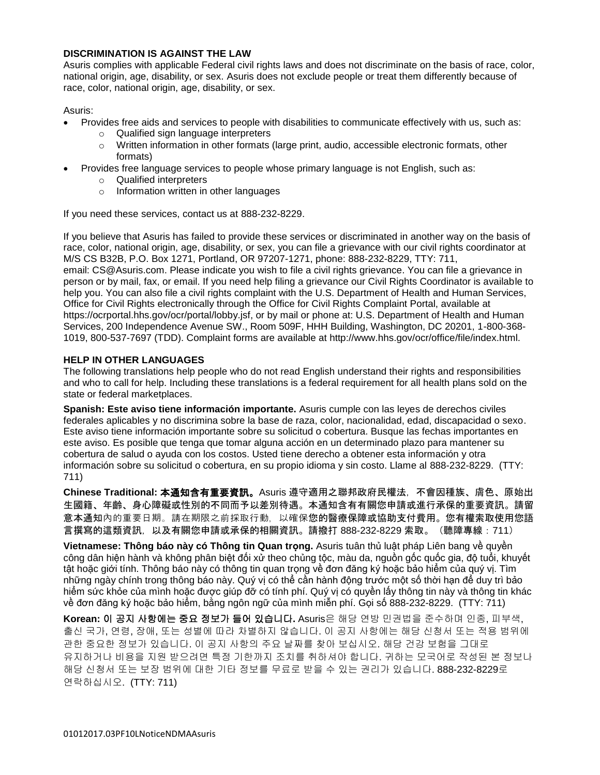### **DISCRIMINATION IS AGAINST THE LAW**

Asuris complies with applicable Federal civil rights laws and does not discriminate on the basis of race, color, national origin, age, disability, or sex. Asuris does not exclude people or treat them differently because of race, color, national origin, age, disability, or sex.

Asuris:

- Provides free aids and services to people with disabilities to communicate effectively with us, such as:
	- o Qualified sign language interpreters
	- $\circ$  Written information in other formats (large print, audio, accessible electronic formats, other formats)
- Provides free language services to people whose primary language is not English, such as:
	- o Qualified interpreters
	- o Information written in other languages

If you need these services, contact us at 888-232-8229.

If you believe that Asuris has failed to provide these services or discriminated in another way on the basis of race, color, national origin, age, disability, or sex, you can file a grievance with our civil rights coordinator at M/S CS B32B, P.O. Box 1271, Portland, OR 97207-1271, phone: 888-232-8229, TTY: 711, email: CS@Asuris.com. Please indicate you wish to file a civil rights grievance. You can file a grievance in person or by mail, fax, or email. If you need help filing a grievance our Civil Rights Coordinator is available to help you. You can also file a civil rights complaint with the U.S. Department of Health and Human Services, Office for Civil Rights electronically through the Office for Civil Rights Complaint Portal, available at https://ocrportal.hhs.gov/ocr/portal/lobby.jsf, or by mail or phone at: U.S. Department of Health and Human Services, 200 Independence Avenue SW., Room 509F, HHH Building, Washington, DC 20201, 1-800-368- 1019, 800-537-7697 (TDD). Complaint forms are available at http://www.hhs.gov/ocr/office/file/index.html.

#### **HELP IN OTHER LANGUAGES**

The following translations help people who do not read English understand their rights and responsibilities and who to call for help. Including these translations is a federal requirement for all health plans sold on the state or federal marketplaces.

**Spanish: Este aviso tiene información importante.** Asuris cumple con las leyes de derechos civiles federales aplicables y no discrimina sobre la base de raza, color, nacionalidad, edad, discapacidad o sexo. Este aviso tiene información importante sobre su solicitud o cobertura. Busque las fechas importantes en este aviso. Es posible que tenga que tomar alguna acción en un determinado plazo para mantener su cobertura de salud o ayuda con los costos. Usted tiene derecho a obtener esta información y otra información sobre su solicitud o cobertura, en su propio idioma y sin costo. Llame al 888-232-8229. (TTY: 711)

**Chinese Traditional:** 本通知含有重要資訊。Asuris 遵守適用之聯邦政府民權法,不會因種族、膚色、原始出 生國籍、年齡、身心障礙或性別的不同而予以差別待遇。本通知含有有關您申請或進行承保的重要資訊。請留 意本通知內的重要日期。請在期限之前採取行動,以確保您的醫療保障或協助支付費用。您有權索取使用您語 言撰寫的這類資訊,以及有關您申請或承保的相關資訊。請撥打 888-232-8229 索取。(聽障專線:711)

**Vietnamese: Thông báo này có Thông tin Quan trọng.** Asuris tuân thủ luật pháp Liên bang về quyền công dân hiện hành và không phân biệt đối xử theo chủng tộc, màu da, nguồn gốc quốc gia, độ tuổi, khuyết tật hoặc giới tính. Thông báo này có thông tin quan trọng về đơn đăng ký hoặc bảo hiểm của quý vị. Tìm những ngày chính trong thông báo này. Quý vị có thể cần hành động trước một số thời hạn để duy trì bảo hiểm sức khỏe của mình hoặc được giúp đỡ có tính phí. Quý vị có quyền lấy thông tin này và thông tin khác về đơn đăng ký hoặc bảo hiểm, bằng ngôn ngữ của mình miễn phí. Gọi số 888-232-8229. (TTY: 711)

**Korean:** 이 공지 사항에는 중요 정보가 들어 있습니다**.** Asuris은 해당 연방 민권법을 준수하며 인종, 피부색, 출신 국가, 연령, 장애, 또는 성별에 따라 차별하지 않습니다. 이 공지 사항에는 해당 신청서 또는 적용 범위에 관한 중요한 정보가 있습니다. 이 공지 사항의 주요 날짜를 찾아 보십시오. 해당 건강 보험을 그대로 유지하거나 비용을 지원 받으려면 특정 기한까지 조치를 취하셔야 합니다. 귀하는 모국어로 작성된 본 정보나 해당 신청서 또는 보장 범위에 대한 기타 정보를 무료로 받을 수 있는 권리가 있습니다. 888-232-8229로 연락하십시오. (TTY: 711)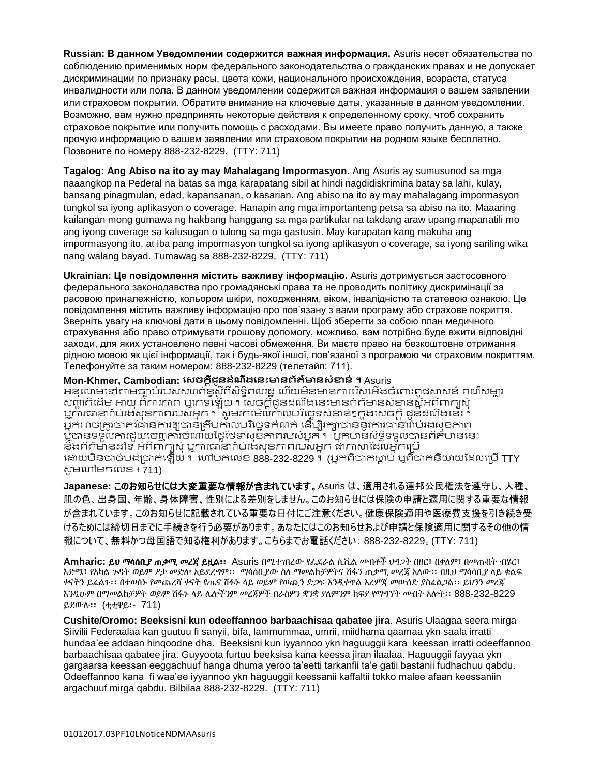**Russian: В данном Уведомлении содержится важная информация.** Asuris несет обязательства по соблюдению применимых норм федерального законодательства о гражданских правах и не допускает дискриминации по признаку расы, цвета кожи, национального происхождения, возраста, статуса инвалидности или пола. В данном уведомлении содержится важная информация о вашем заявлении или страховом покрытии. Обратите внимание на ключевые даты, указанные в данном уведомлении. Возможно, вам нужно предпринять некоторые действия к определенному сроку, чтоб сохранить страховое покрытие или получить помощь с расходами. Вы имеете право получить данную, а также прочую информацию о вашем заявлении или страховом покрытии на родном языке бесплатно. Позвоните по номеру 888-232-8229. (TTY: 711)

**Tagalog: Ang Abiso na ito ay may Mahalagang Impormasyon.** Ang Asuris ay sumusunod sa mga naaangkop na Pederal na batas sa mga karapatang sibil at hindi nagdidiskrimina batay sa lahi, kulay, bansang pinagmulan, edad, kapansanan, o kasarian. Ang abiso na ito ay may mahalagang impormasyon tungkol sa iyong aplikasyon o coverage. Hanapin ang mga importanteng petsa sa abiso na ito. Maaaring kailangan mong gumawa ng hakbang hanggang sa mga partikular na takdang araw upang mapanatili mo ang iyong coverage sa kalusugan o tulong sa mga gastusin. May karapatan kang makuha ang impormasyong ito, at iba pang impormasyon tungkol sa iyong aplikasyon o coverage, sa iyong sariling wika nang walang bayad. Tumawag sa 888-232-8229. (TTY: 711)

**Ukrainian: Це повідомлення містить важливу інформацію.** Asuris дотримується застосовного федерального законодавства про громадянські права та не проводить політику дискримінації за расовою приналежністю, кольором шкіри, походженням, віком, інвалідністю та статевою ознакою. Це повідомлення містить важливу інформацію про пов'язану з вами програму або страхове покриття. Зверніть увагу на ключові дати в цьому повідомленні. Щоб зберегти за собою план медичного страхування або право отримувати грошову допомогу, можливо, вам потрібно буде вжити відповідні заходи, для яких установлено певні часові обмеження. Ви маєте право на безкоштовне отримання рідною мовою як цієї інформації, так і будь-якої іншої, пов'язаної з програмою чи страховим покриттям. Телефонуйте за таким номером: 888-232-8229 (телетайп: 711).

## **Mon-Khmer, Cambodian: សេចក្តីជូនដំណឹងសនេះមានព័ត៌មានេំខាន់ ។** Asuris

អនុលោមទៅតាមច្បាប់របស់សហព័ន្ធស្តីពីសិទ្ធិពលរដ្ឋ ហើយមិនមានការរើសអើងចំពោះពូជសាសន៍ ពណ៌សម្បូរ សញ្ជាកិដើម អាយុ ពិការភាព ឬភេទឡើយ ។ សេចក្ដីជូនដំណឹងនេះមានព័ត៌មានសំខាន់ស្ដីអំពីពាក្យសុំ ឬការធានារ៉ាប់រងសុខភាពរបស់អ្នក ។ សូមរកមើលកាលបរិច្ឆេទសំខាន់ៗក្នុងសេចក្តី ដូនដំណឹងនេះ ។ អ្នកអាចត្រូវចាត់វិធានការឲ្យបានត្រឹមកាលបរិច្ឆេទកំណត់ ដើម្បីរក្សាបាននូវការធានារ៉ាប់រងសុខភាព ប្អីបានទទួលការជួយចេញការចំណាយថ្លៃថែទាំសុខភាពរបស់អ្នក ។ អ្នកមានសិទ្ធិទទួលបានព័ត៌មាននេះ និ៍ងព័ត៌មានដទៃ អំពី៣ក្យសុំ ឬការធានារ៉ាប់រងសុខភាពរបស់អ្នក ជាភាសាដែលអ្នកប្រើ ដោយមិនបាច់បង់ប្រាក់ឡើយ ។ ហៅមកលេខ 888-232-8229 ។ (អ្នកពិបាកស្លាប់ ឬពិបាកនិយាយដែលប្រើ TTY សូមហៅមកលេខ $\overline{\overline{5}}$ 711)

**Japanese:** このお知らせには大変重要な情報が含まれています。Asuris は、適用される連邦公民権法を遵守し、人種、 肌の色、出身国、年齢、身体障害、性別による差別をしません。このお知らせには保険の申請と適用に関する重要な情報 が含まれています。このお知らせに記載されている重要な日付にご注意ください。健康保険適用や医療費支援を引き続き受 けるためには締切日までに手続きを行う必要があります。あなたにはこのお知らせおよび申請と保険適用に関するその他の情 報について、無料かつ母国語で知る権利があります。こちらまでお電話ください: 888-232-8229。(TTY: 711)

**Amharic:** ይህ ማሳሰቢያ ጠቃሚ መረጃ ይዟል፡፡ Asuris በሚተገበረው የፌደራል ሲቪል መብቶች ህግጋት በዘር፣ በቀለም፣ በመጡበት ብሄር፣ እድሜ፣ የአካል ጉዳት ወይም ፆታ መድሎ አይደረግም፡፡ ማሳሰቢያው ስለ ማመልከቻዎትና ሽፋን ጠቃሚ መረጃ አለው፡፡ በዚህ ማሳሳቢያ ላይ ቁልፍ ቀናትን ይፈልጉ፡፡ በተወሰኑ የመጨረሻ ቀናት የጤና ሽፋኑ ላይ ወይም የወጪን ድጋፍ እንዲቀጥል እረምጃ መውሰድ ያስፈልጋል፡፡ ይህንን መረጃ እንዲሁም በማመልከቻዎት ወይም ሽፋኑ ላይ ሌሎችንም መረጃዎች በራስዎን ቋንቋ ያለምንም ክፍያ የማግኘት መብት አሎት፡፡ 888-232-8229 ይደውሉ፡፡ (ቲቲዋይ፡- 711)

**Cushite/Oromo: Beeksisni kun odeeffannoo barbaachisaa qabatee jira**. Asuris Ulaagaa seera mirga Siivilii Federaalaa kan guutuu fi sanyii, bifa, lammummaa, umrii, miidhama qaamaa ykn saala irratti hundaa'ee addaan hinqoodne dha. Beeksisni kun iyyannoo ykn haguuggii kara keessan irratti odeeffannoo barbaachisaa qabatee jira. Guyyoota furtuu beeksisa kana keessa jiran ilaalaa. Haguuggii fayyaa ykn gargaarsa keessan eeggachuuf hanga dhuma yeroo ta'eetti tarkanfii ta'e gatii bastanii fudhachuu qabdu. Odeeffannoo kana fi waa'ee iyyannoo ykn haguuggii keessanii kaffaltii tokko malee afaan keessaniin argachuuf mirga qabdu. Bilbilaa 888-232-8229. (TTY: 711)